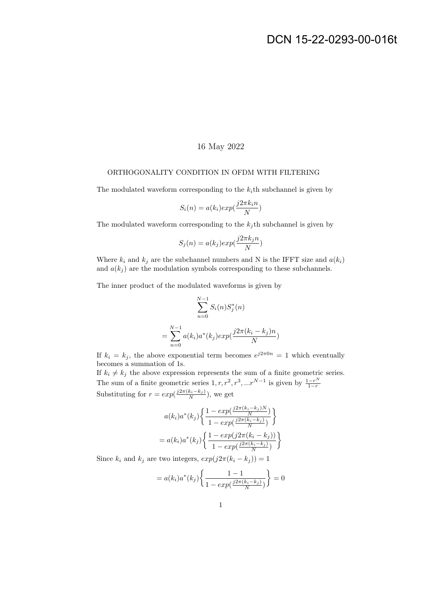## 16 May 2022

## ORTHOGONALITY CONDITION IN OFDM WITH FILTERING

The modulated waveform corresponding to the  $k_i$ th subchannel is given by

$$
S_i(n) = a(k_i) exp(\frac{j2\pi k_i n}{N})
$$

The modulated waveform corresponding to the  $k_j$ th subchannel is given by

$$
S_j(n) = a(k_j) exp(\frac{j2\pi k_j n}{N})
$$

Where  $k_i$  and  $k_j$  are the subchannel numbers and N is the IFFT size and  $a(k_i)$ and  $a(k<sub>i</sub>)$  are the modulation symbols corresponding to these subchannels.

The inner product of the modulated waveforms is given by

$$
\sum_{n=0}^{N-1} S_i(n) S_j^*(n)
$$
  
= 
$$
\sum_{n=0}^{N-1} a(k_i) a^*(k_j) exp(\frac{j2\pi (k_i - k_j)n}{N})
$$

If  $k_i = k_j$ , the above exponential term becomes  $e^{j2\pi 0n} = 1$  which eventually becomes a summation of 1s.

If  $k_i \neq k_j$  the above expression represents the sum of a finite geometric series. The sum of a finite geometric series  $1, r, r^2, r^3, ...r^{N-1}$  is given by  $\frac{1-r^N}{1-r}$  $1-r$ Substituting for  $r = exp(\frac{j2\pi(k_i - k_j)}{N})$ , we get

$$
a(k_i)a^*(k_j)\left\{\frac{1-\exp(\frac{j2\pi(k_i-k_j)N}{N})}{1-\exp(\frac{j2\pi(k_i-k_j)}{N})}\right\}
$$

$$
= a(k_i)a^*(k_j)\left\{\frac{1-\exp(j2\pi(k_i-k_j))}{1-\exp(\frac{j2\pi(k_i-k_j)}{N})}\right\}
$$

Since  $k_i$  and  $k_j$  are two integers,  $exp(j2\pi(k_i - k_j)) = 1$ 

$$
= a(k_i)a^*(k_j)\left\{\frac{1-1}{1 - exp(\frac{j2\pi(k_i - k_j)}{N})}\right\} = 0
$$